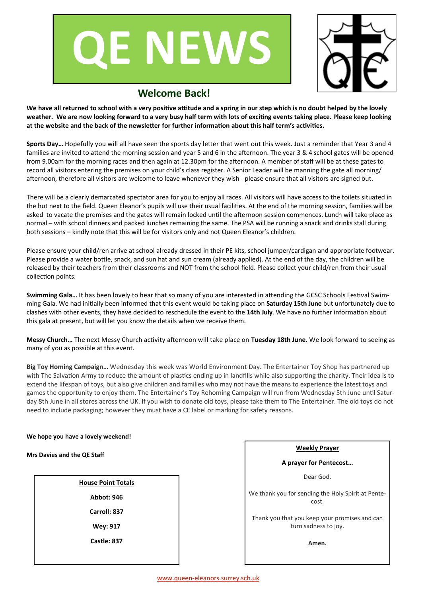



## **Welcome Back!**

**We have all returned to school with a very positive attitude and a spring in our step which is no doubt helped by the lovely weather. We are now looking forward to a very busy half term with lots of exciting events taking place. Please keep looking at the website and the back of the newsletter for further information about this half term's activities.** 

**Sports Day…** Hopefully you will all have seen the sports day letter that went out this week. Just a reminder that Year 3 and 4 families are invited to attend the morning session and year 5 and 6 in the afternoon. The year 3 & 4 school gates will be opened from 9.00am for the morning races and then again at 12.30pm for the afternoon. A member of staff will be at these gates to record all visitors entering the premises on your child's class register. A Senior Leader will be manning the gate all morning/ afternoon, therefore all visitors are welcome to leave whenever they wish - please ensure that all visitors are signed out.

There will be a clearly demarcated spectator area for you to enjoy all races. All visitors will have access to the toilets situated in the hut next to the field. Queen Eleanor's pupils will use their usual facilities. At the end of the morning session, families will be asked to vacate the premises and the gates will remain locked until the afternoon session commences. Lunch will take place as normal – with school dinners and packed lunches remaining the same. The PSA will be running a snack and drinks stall during both sessions – kindly note that this will be for visitors only and not Queen Eleanor's children.

Please ensure your child/ren arrive at school already dressed in their PE kits, school jumper/cardigan and appropriate footwear. Please provide a water bottle, snack, and sun hat and sun cream (already applied). At the end of the day, the children will be released by their teachers from their classrooms and NOT from the school field. Please collect your child/ren from their usual collection points.

**Swimming Gala…** It has been lovely to hear that so many of you are interested in attending the GCSC Schools Festival Swimming Gala. We had initially been informed that this event would be taking place on **Saturday 15th June** but unfortunately due to clashes with other events, they have decided to reschedule the event to the **14th July**. We have no further information about this gala at present, but will let you know the details when we receive them.

**Messy Church…** The next Messy Church activity afternoon will take place on **Tuesday 18th June**. We look forward to seeing as many of you as possible at this event.

**Big Toy Homing Campaign…** Wednesday this week was World Environment Day. The Entertainer Toy Shop has partnered up with The Salvation Army to reduce the amount of plastics ending up in landfills while also supporting the charity. Their idea is to extend the lifespan of toys, but also give children and families who may not have the means to experience the latest toys and games the opportunity to enjoy them. The Entertainer's Toy Rehoming Campaign will run from Wednesday 5th June until Saturday 8th June in all stores across the UK. If you wish to donate old toys, please take them to The Entertainer. The old toys do not need to include packaging; however they must have a CE label or marking for safety reasons.

## **We hope you have a lovely weekend!**

## **Mrs Davies and the QE Staff**

| <b>House Point Totals</b> |  |  |  |  |  |  |
|---------------------------|--|--|--|--|--|--|
| Abbot: 946                |  |  |  |  |  |  |
| Carroll: 837              |  |  |  |  |  |  |
| <b>Wey: 917</b>           |  |  |  |  |  |  |
| Castle: 837               |  |  |  |  |  |  |
|                           |  |  |  |  |  |  |

| <b>Weekly Praver</b>                                                  |  |  |  |  |  |  |  |
|-----------------------------------------------------------------------|--|--|--|--|--|--|--|
| A prayer for Pentecost                                                |  |  |  |  |  |  |  |
| Dear God.                                                             |  |  |  |  |  |  |  |
| We thank you for sending the Holy Spirit at Pente-<br>cost.           |  |  |  |  |  |  |  |
| Thank you that you keep your promises and can<br>turn sadness to joy. |  |  |  |  |  |  |  |
| Amen.                                                                 |  |  |  |  |  |  |  |